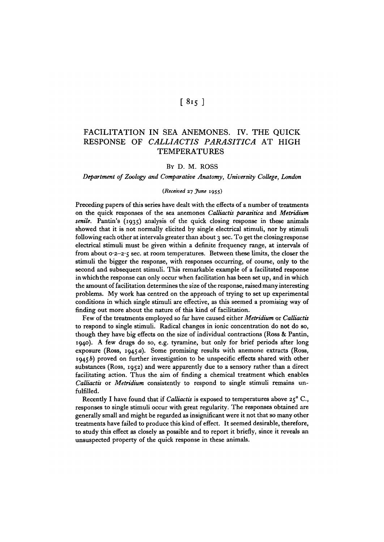# $[815]$

# FACILITATION IN SEA ANEMONES. IV. THE QUICK RESPONSE OF *CALLIACTIS PARASITICA* AT HIGH **TEMPERATURES**

## BY D. M. ROSS

*Department of Zoology and Comparative Anatomy, University College, London*

## *{Received* **27** *June* **1955)**

Preceding papers of this series have dealt with the effects of a number of treatments on the quick responses of the sea anemones *Calliactis parasitica* and *Metridium* senile. Pantin's (1935) analysis of the quick closing response in these animals showed that it is not normally elicited by single electrical stimuli, nor by stimuli following each other at intervals greater than about 3 sec. To get the closing response electrical stimuli must be given within a definite frequency range, at intervals of from about 0.2-2.5 sec. at room temperatures. Between these limits, the closer the stimuli the bigger the response, with responses occurring, of course, only to the second and subsequent stimuli. This remarkable example of a facilitated response in which the response can only occur when facilitation has been set up, and in which the amount of facilitation determines the size of the response, raised many interesting problems. My work has centred on the approach of trying to set up experimental conditions in which single stimuli are effective, as this seemed a promising way of finding out more about the nature of this kind of facilitation.

Few of the treatments employed so far have caused either *Metridium* or *Calliactis* to respond to single stimuli. Radical changes in ionic concentration do not do so, though they have big effects on the size of individual contractions (Ross & Pantin, 1940). A few drugs do so, e.g. tyramine, but only for brief periods after long exposure (Ross,  $1945a$ ). Some promising results with anemone extracts (Ross,  $19456$ ) proved on further investigation to be unspecific effects shared with other substances (Ross, 1952) and were apparently due to a sensory rather than a direct facilitating action. Thus the aim of finding a chemical treatment which enables *Calliactis* or *Metridium* consistently to respond to single stimuli remains unfulfilled.

Recently I have found that if *Calliactis* is exposed to temperatures above 25° C., responses to single stimuli occur with great regularity. The responses obtained are generally small and might be regarded as insignificant were it not that so many other treatments have failed to produce this kind of effect. It seemed desirable, therefore, to study this effect as closely as possible and to report it briefly, since it reveals an unsuspected property of the quick response in these animals.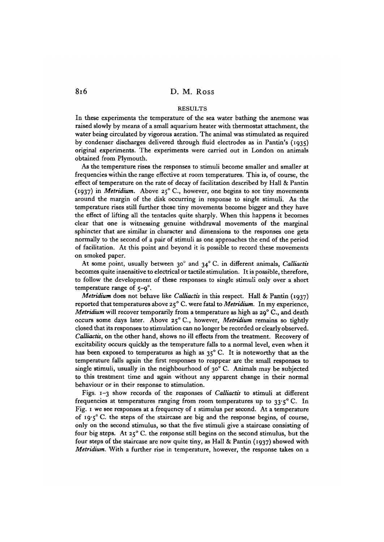## RESULTS

In these experiments the temperature of the sea water bathing the anemone was raised slowly by means of a small aquarium heater with thermostat attachment, the water being circulated by vigorous aeration. The animal was stimulated as required by condenser discharges delivered through fluid electrodes as in Pantin's (1935) original experiments. The experiments were carried out in London on animals obtained from Plymouth.

As the temperature rises the responses to stimuli become smaller and smaller at frequencies within the range effective at room temperatures. This is, of course, the effect of temperature on the rate of decay of facilitation described by Hall & Pantin (1937) in *Metridium*. Above 25° C., however, one begins to see tiny movements around the margin of the disk occurring in response to single stimuli. As the temperature rises still further these tiny movements become bigger and they have the effect of lifting all the tentacles quite sharply. When this happens it becomes clear that one is witnessing genuine withdrawal movements of the marginal sphincter that are similar in character and dimensions to the responses one gets normally to the second of a pair of stimuli as one approaches the end of the period of facilitation. At this point and beyond it is possible to record these movements on smoked paper.

At some point, usually between 30° and 34° C. in different animals, *CaUiactis* becomes quite insensitive to electrical or tactile stimulation. It is possible, therefore, to follow the development of these responses to single stimuli only over a short temperature range of  $5-9^\circ$ .

*Metridium* does not behave like *CaUiactis* in this respect. Hall & Pantin (1937) reported that temperatures above 25 ° C. were fatal to *Metridium.* In my experience, Metridium will recover temporarily from a temperature as high as 29° C., and death occurs some days later. Above 25° C., however, *Metridium* remains so tightly closed that its responses to stimulation can no longer be recorded or clearly observed. *CaUiactis,* on the other hand, shows no ill effects from the treatment. Recovery of excitability occurs quickly as the temperature falls to a normal level, even when it has been exposed to temperatures as high as 35°C. It is noteworthy that as the temperature falls again the first responses to reappear are the small responses to single stimuli, usually in the neighbourhood of  $30^{\circ}$  C. Animals may be subjected to this treatment time and again without any apparent change in their normal behaviour or in their response to stimulation.

Figs. 1-3 show records of the responses of *CaUiactis* to stimuli at different frequencies at temperatures ranging from room temperatures up to  $33.5^{\circ}$  C. In Fig. 1 we see responses at a frequency of 1 stimulus per second. At a temperature of 19.5° C. the steps of the staircase are big and the response begins, of course, only on the second stimulus, so that the five stimuli give a staircase consisting of four big steps. At 25° C. the response still begins on the second stimulus, but the four steps of the staircase are now quite tiny, as Hall & Pantin (1937) showed with *Metridium.* With a further rise in temperature, however, the response takes on a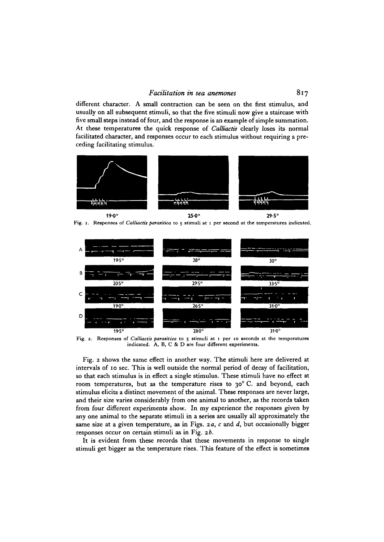different character. A small contraction can be seen on the first stimulus, and usually on all subsequent stimuli, so that the five stimuli now give a staircase with five small steps instead of four, and the response is an example of simple summation. At these temperatures the quick response of *Calliactis* clearly loses its normal facilitated character, and responses occur to each stimulus without requiring a preceding facilitating stimulus.



Fig. 1. Responses of *Calliactis parasitica* to 5 stimuli at 1 per second at the temperatures indicated.



Fig. 2. Responses of *Calliactis parasitica* to 5 stimuli at 1 per 10 seconds at the temperatures indicated. A, B, C & D are four different experiments.

Fig. 2 shows the same effect in another way. The stimuli here are delivered at intervals of 10 sec. This is well outside the normal period of decay of facilitation, so that each stimulus is in effect a single stimulus. These stimuli have no effect at room temperatures, but as the temperature rises to 30°C. and beyond, each stimulus elicits a distinct movement of the animal. These responses are never large, and their size varies considerably from one animal to another, as the records taken from four different experiments show. In my experience the responses given by any one animal to the separate stimuli in a series are usually all approximately the same size at a given temperature, as in Figs. *2 a, c* and *d,* but occasionally bigger responses occur on certain stimuli as in Fig. *zb.*

It is evident from these records that these movements in response to single stimuli get bigger as the temperature rises. This feature of the effect is sometimes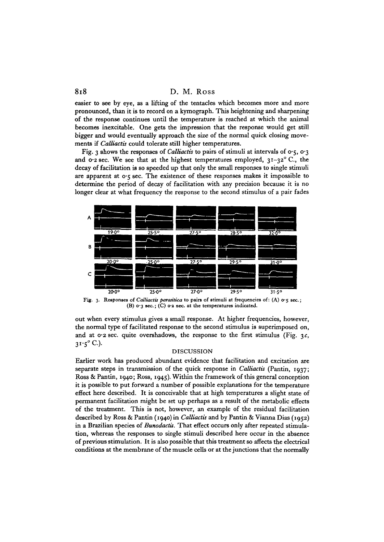## 8i8 D. M. Ross

easier to see by eye, as a lifting of the tentacles which becomes more and more pronounced, than it is to record on a kymograph. This heightening and sharpening of the response continues until the temperature is reached at which the animal becomes inexcitable. One gets the impression that the response would get still bigger and would eventually approach the size of the normal quick closing movements if *CalUactis* could tolerate still higher temperatures.

Fig. 3 shows the responses of *CalUactis* to pairs of stimuli at intervals of 0-5, 0-3 and 0.2 sec. We see that at the highest temperatures employed,  $31-32^{\circ}$  C., the decay of facilitation is so speeded up that only the small responses to single stimuli are apparent at  $o \cdot 5$  sec. The existence of these responses makes it impossible to determine the period of decay of facilitation with any precision because it is no longer clear at what frequency the response to the second stimulus of a pair fades



Fig. 3. Responses of *Calliactis parasitica* to pairs of stimuli at frequencies of: (A) o.5 sec.; (B)  $o$  3 sec.; (C)  $o$  2 sec. at the temperatures indicated.

out when every stimulus gives a small response. At higher frequencies, however, the normal type of facilitated response to the second stimulus is superimposed on, and at  $0.2$  sec. quite overshadows, the response to the first stimulus (Fig. 3c,  $3^{1.5^{\circ}}$  C.). DISCUSSION

Earlier work has produced abundant evidence that facilitation and excitation are separate steps in transmission of the quick response in *Calliactis* (Pantin, 1937; Ross & Pantin, 1940; Ross, 1945). Within the framework of this general conception it is possible to put forward a number of possible explanations for the temperature effect here described. It is conceivable that at high temperatures a slight state of permanent facilitation might be set up perhaps as a result of the metabolic effects of the treatment. This is not, however, an example of the residual facilitation described by Ross & Pantin (1940) in *Calliactis* and by Pantin & Vianna Dias (1952) in a Brazilian species of *Bunodactis.* That effect occurs only after repeated stimulation, whereas the responses to single stimuli described here occur in the absence of previous stimulation. It is also possible that this treatment so affects the electrical conditions at the membrane of the muscle cells or at the junctions that the normally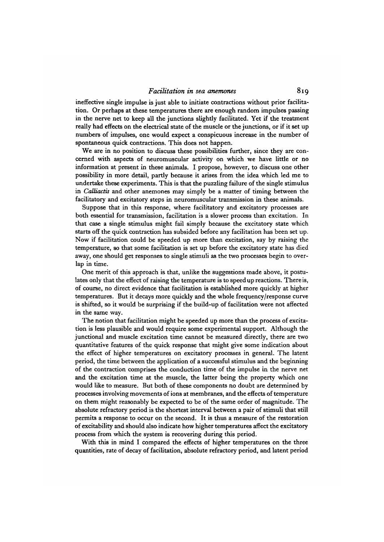ineffective single impulse is just able to initiate contractions without prior facilitation. Or perhaps at these temperatures there are enough random impulses passing in the nerve net to keep all the junctions slightly facilitated. Yet if the treatment really had effects on the electrical state of the muscle or the junctions, or if it set up numbers of impulses, one would expect a conspicuous increase in the number of spontaneous quick contractions. This does not happen.

We are in no position to discuss these possibilities further, since they are concerned with aspects of neuromuscular activity on which we have little or no information at present in these animals. I propose, however, to discuss one other possibility in more detail, partly because it arises from the idea which led me to undertake these experiments. This is that the puzzling failure of the single stimulus in *CaUiactis* and other anemones may simply be a matter of timing between the facilitatory and excitatory steps in neuromuscular transmission in these animals.

Suppose that in this response, where facilitatory and excitatory processes are both essential for transmission, facilitation is a slower process than excitation. In that case a single stimulus might fail simply because the excitatory state which starts off the quick contraction has subsided before any facilitation has been set up. Now if facilitation could be speeded up more than excitation, say by raising the temperature, so that some facilitation is set up before the excitatory state has died away, one should get responses to single stimuli as the two processes begin to overlap in time.

One merit of this approach is that, unlike the suggestions made above, it postulates only that the effect of raising the temperature is to speed up reactions. There is, of course, no direct evidence that facilitation is established more quickly at higher temperatures. But it decays more quickly and the whole frequency/response curve is shifted, so it would be surprising if the build-up of facilitation were not affected in the same way.

The notion that facilitation might be speeded up more than the process of excitation is less plausible and would require some experimental support. Although the junctional and muscle excitation time cannot be measured directly, there are two quantitative features of the quick response that might give some indication about the effect of higher temperatures on excitatory processes in general. The latent period, the time between the application of a successful stimulus and the beginning of the contraction comprises the conduction time of the impulse in the nerve net and the excitation time at the muscle, the latter being the property which one would like to measure. But both of these components no doubt are determined by processes involving movements of ions at membranes, and the effects of temperature on them might reasonably be expected to be of the same order of magnitude. The absolute refractory period is the shortest interval between a pair of stimuli that still permits a response to occur on the second. It is thus a measure of the restoration of excitability and should also indicate how higher temperatures affect the excitatory process from which the system is recovering during this period.

With this in mind I compared the effects of higher temperatures on the three quantities, rate of decay of facilitation, absolute refractory period, and latent period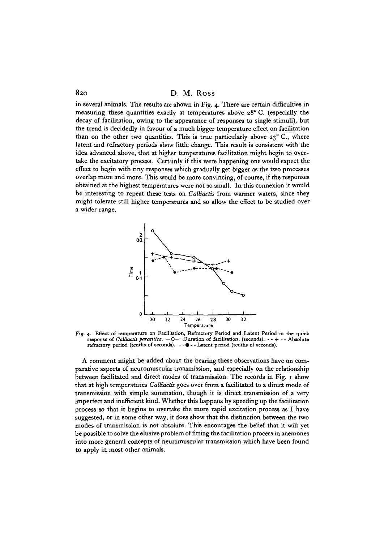820 D. M. Ross

in several animals. The results are shown in Fig. 4. There are certain difficulties in measuring these quantities exactly at temperatures above 28°C. (especially the decay of facilitation, owing to the appearance of responses to single stimuli), but the trend is decidedly in favour of a much bigger temperature effect on facilitation than on the other two quantities. This is true particularly above  $23^{\circ}$  C., where latent and refractory periods show little change. This result is consistent with the idea advanced above, that at higher temperatures facilitation might begin to overtake the excitatory process. Certainly if this were happening one would expect the effect to begin with tiny responses which gradually get bigger as the two processes overlap more and more. This would be more convincing, of course, if the responses obtained at the highest temperatures were not so small. In this connexion it would be interesting to repeat these tests on *Calliactis* from warmer waters, since they might tolerate still higher temperatures and so allow the effect to be studied over a wider range.



**Fig. 4. Effect of temperature on Facilitation, Refractory Period and Latent Period in the quick response of** *Calliactis parasitica.* $-0$  **— Duration of facilitation, (seconds). - - + - - Absolute refractory period (tenths of seconds). - -**  $\bullet$  **- - Latent period (tenths of seconds).** 

A comment might be added about the bearing these observations have on comparative aspects of neuromuscular transmission, and especially on the relationship between facilitated and direct modes of transmission. The records in Fig. i show that at high temperatures *Calliactis* goes over from a facilitated to a direct mode of transmission with simple summation, though it is direct transmission of a very imperfect and inefficient kind. Whether this happens by speeding up the facilitation process so that it begins to overtake the more rapid excitation process as I have suggested, or in some other way, it does show that the distinction between the two modes of transmission is not absolute. This encourages the belief that it will yet be possible to solve the elusive problem of fitting the facilitation process in anemones into more general concepts of neuromuscular transmission which have been found to apply in most other animals.